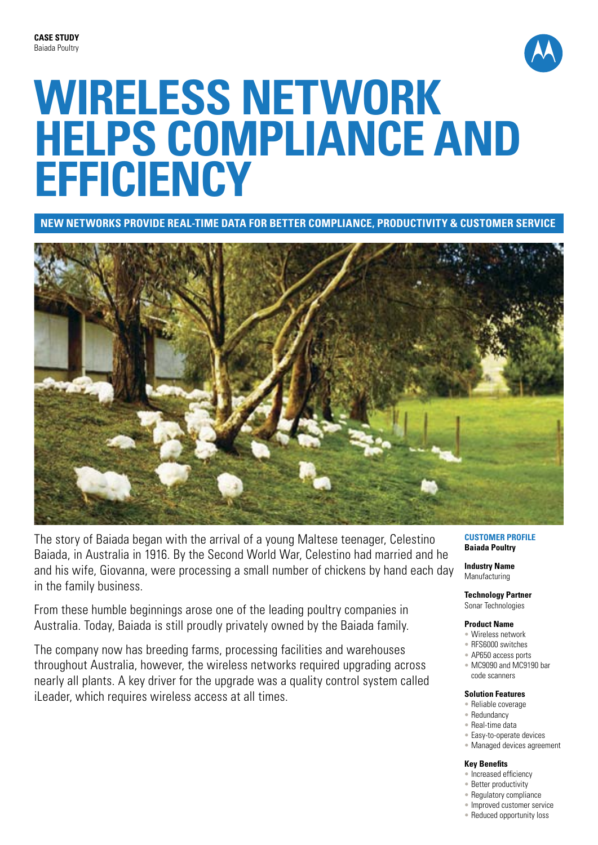

# **Wireless network helps compliance and efficiency**

**New networks provide real-time data for better compliance, productivity & customer service**



The story of Baiada began with the arrival of a young Maltese teenager, Celestino Baiada, in Australia in 1916. By the Second World War, Celestino had married and he and his wife, Giovanna, were processing a small number of chickens by hand each day in the family business.

From these humble beginnings arose one of the leading poultry companies in Australia. Today, Baiada is still proudly privately owned by the Baiada family.

The company now has breeding farms, processing facilities and warehouses throughout Australia, however, the wireless networks required upgrading across nearly all plants. A key driver for the upgrade was a quality control system called iLeader, which requires wireless access at all times.

## **Customer Profile Baiada Poultry**

**Industry Name** Manufacturing

**Technology Partner** Sonar Technologies

## **Product Name**

- Wireless network
- RFS6000 switches
- AP650 access ports • MC9090 and MC9190 bar
- code scanners

## **Solution Features**

- Reliable coverage
- Redundancy
- Real-time data
- Easy-to-operate devices
- Managed devices agreement

## **Key Benefits**

- Increased efficiency
- Better productivity
- Regulatory compliance
- Improved customer service
- Reduced opportunity loss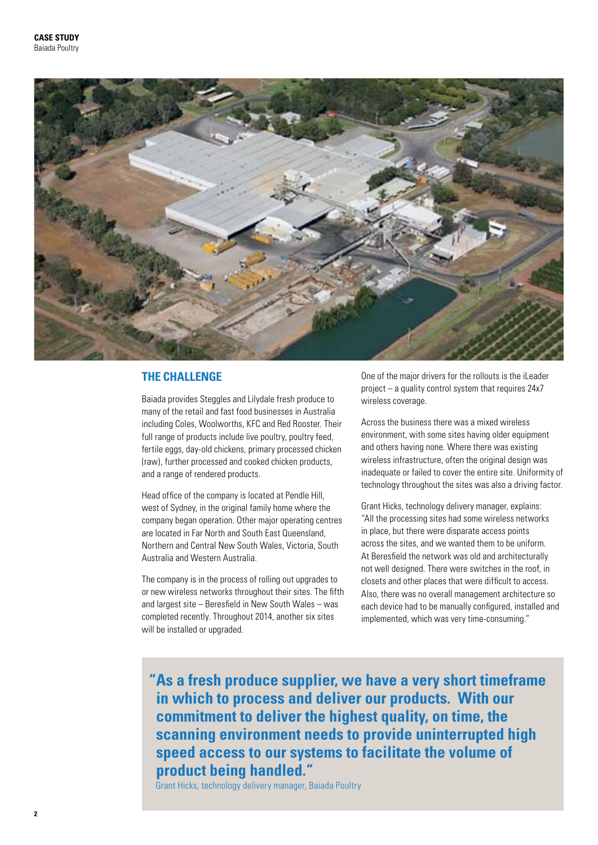

## **The Challenge**

Baiada provides Steggles and Lilydale fresh produce to many of the retail and fast food businesses in Australia including Coles, Woolworths, KFC and Red Rooster. Their full range of products include live poultry, poultry feed, fertile eggs, day-old chickens, primary processed chicken (raw), further processed and cooked chicken products, and a range of rendered products.

Head office of the company is located at Pendle Hill, west of Sydney, in the original family home where the company began operation. Other major operating centres are located in Far North and South East Queensland, Northern and Central New South Wales, Victoria, South Australia and Western Australia.

The company is in the process of rolling out upgrades to or new wireless networks throughout their sites. The fifth and largest site – Beresfield in New South Wales – was completed recently. Throughout 2014, another six sites will be installed or upgraded.

One of the major drivers for the rollouts is the iLeader project – a quality control system that requires 24x7 wireless coverage.

Across the business there was a mixed wireless environment, with some sites having older equipment and others having none. Where there was existing wireless infrastructure, often the original design was inadequate or failed to cover the entire site. Uniformity of technology throughout the sites was also a driving factor.

Grant Hicks, technology delivery manager, explains: "All the processing sites had some wireless networks in place, but there were disparate access points across the sites, and we wanted them to be uniform. At Beresfield the network was old and architecturally not well designed. There were switches in the roof, in closets and other places that were difficult to access. Also, there was no overall management architecture so each device had to be manually configured, installed and implemented, which was very time-consuming."

**"As a fresh produce supplier, we have a very short timeframe in which to process and deliver our products. With our commitment to deliver the highest quality, on time, the scanning environment needs to provide uninterrupted high speed access to our systems to facilitate the volume of product being handled."**

Grant Hicks, technology delivery manager, Baiada Poultry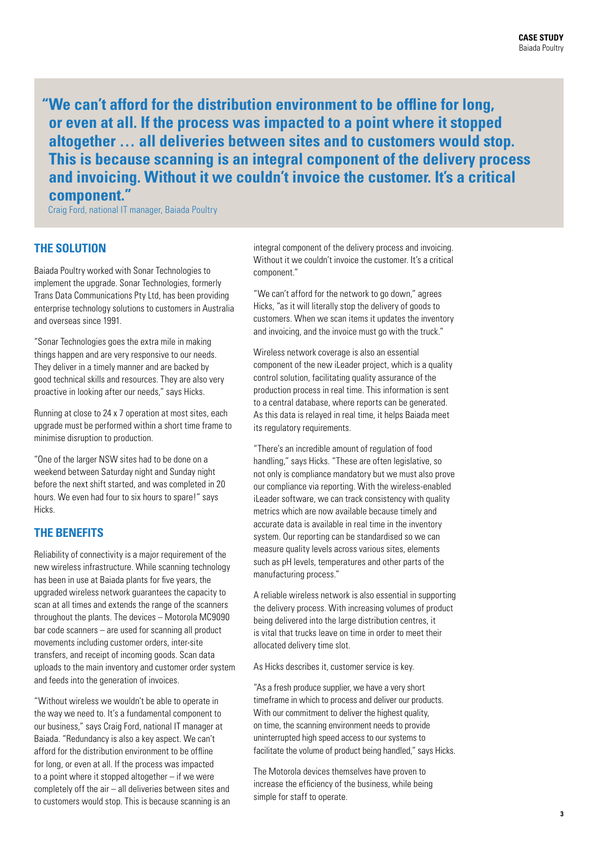**"We can't afford for the distribution environment to be offline for long, or even at all. If the process was impacted to a point where it stopped altogether … all deliveries between sites and to customers would stop. This is because scanning is an integral component of the delivery process and invoicing. Without it we couldn't invoice the customer. It's a critical component."**

Craig Ford, national IT manager, Baiada Poultry

# **The Solution**

Baiada Poultry worked with Sonar Technologies to implement the upgrade. Sonar Technologies, formerly Trans Data Communications Pty Ltd, has been providing enterprise technology solutions to customers in Australia and overseas since 1991.

"Sonar Technologies goes the extra mile in making things happen and are very responsive to our needs. They deliver in a timely manner and are backed by good technical skills and resources. They are also very proactive in looking after our needs," says Hicks.

Running at close to 24 x 7 operation at most sites, each upgrade must be performed within a short time frame to minimise disruption to production.

"One of the larger NSW sites had to be done on a weekend between Saturday night and Sunday night before the next shift started, and was completed in 20 hours. We even had four to six hours to spare!" says Hicks.

# **The Benefits**

Reliability of connectivity is a major requirement of the new wireless infrastructure. While scanning technology has been in use at Baiada plants for five years, the upgraded wireless network guarantees the capacity to scan at all times and extends the range of the scanners throughout the plants. The devices – Motorola MC9090 bar code scanners – are used for scanning all product movements including customer orders, inter-site transfers, and receipt of incoming goods. Scan data uploads to the main inventory and customer order system and feeds into the generation of invoices.

"Without wireless we wouldn't be able to operate in the way we need to. It's a fundamental component to our business," says Craig Ford, national IT manager at Baiada. "Redundancy is also a key aspect. We can't afford for the distribution environment to be offline for long, or even at all. If the process was impacted to a point where it stopped altogether – if we were completely off the air – all deliveries between sites and to customers would stop. This is because scanning is an integral component of the delivery process and invoicing. Without it we couldn't invoice the customer. It's a critical component."

"We can't afford for the network to go down," agrees Hicks, "as it will literally stop the delivery of goods to customers. When we scan items it updates the inventory and invoicing, and the invoice must go with the truck."

Wireless network coverage is also an essential component of the new iLeader project, which is a quality control solution, facilitating quality assurance of the production process in real time. This information is sent to a central database, where reports can be generated. As this data is relayed in real time, it helps Baiada meet its regulatory requirements.

"There's an incredible amount of regulation of food handling," says Hicks. "These are often legislative, so not only is compliance mandatory but we must also prove our compliance via reporting. With the wireless-enabled iLeader software, we can track consistency with quality metrics which are now available because timely and accurate data is available in real time in the inventory system. Our reporting can be standardised so we can measure quality levels across various sites, elements such as pH levels, temperatures and other parts of the manufacturing process."

A reliable wireless network is also essential in supporting the delivery process. With increasing volumes of product being delivered into the large distribution centres, it is vital that trucks leave on time in order to meet their allocated delivery time slot.

As Hicks describes it, customer service is key.

"As a fresh produce supplier, we have a very short timeframe in which to process and deliver our products. With our commitment to deliver the highest quality. on time, the scanning environment needs to provide uninterrupted high speed access to our systems to facilitate the volume of product being handled," says Hicks.

The Motorola devices themselves have proven to increase the efficiency of the business, while being simple for staff to operate.